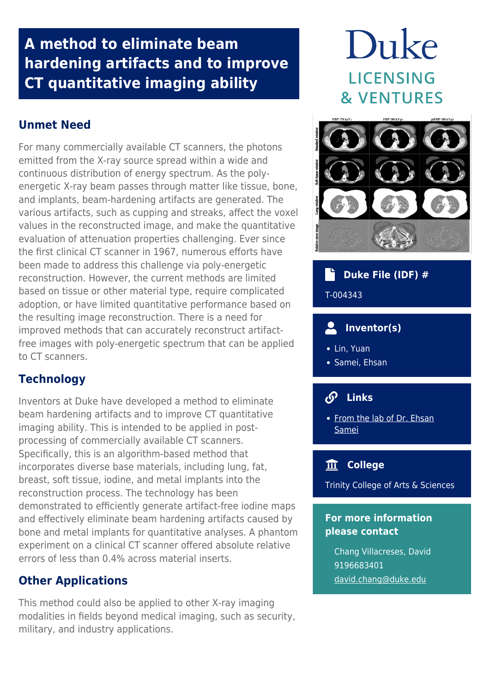## **A method to eliminate beam hardening artifacts and to improve CT quantitative imaging ability**

## **Unmet Need**

For many commercially available CT scanners, the photons emitted from the X-ray source spread within a wide and continuous distribution of energy spectrum. As the polyenergetic X-ray beam passes through matter like tissue, bone, and implants, beam-hardening artifacts are generated. The various artifacts, such as cupping and streaks, affect the voxel values in the reconstructed image, and make the quantitative evaluation of attenuation properties challenging. Ever since the first clinical CT scanner in 1967, numerous efforts have been made to address this challenge via poly-energetic reconstruction. However, the current methods are limited based on tissue or other material type, require complicated adoption, or have limited quantitative performance based on the resulting image reconstruction. There is a need for improved methods that can accurately reconstruct artifactfree images with poly-energetic spectrum that can be applied to CT scanners.

## **Technology**

Inventors at Duke have developed a method to eliminate beam hardening artifacts and to improve CT quantitative imaging ability. This is intended to be applied in postprocessing of commercially available CT scanners. Specifically, this is an algorithm-based method that incorporates diverse base materials, including lung, fat, breast, soft tissue, iodine, and metal implants into the reconstruction process. The technology has been demonstrated to efficiently generate artifact-free iodine maps and effectively eliminate beam hardening artifacts caused by bone and metal implants for quantitative analyses. A phantom experiment on a clinical CT scanner offered absolute relative errors of less than 0.4% across material inserts.

## **Other Applications**

This method could also be applied to other X-ray imaging modalities in fields beyond medical imaging, such as security, military, and industry applications.

# Duke **LICENSING & VENTURES**



 **Duke File (IDF) #**

T-004343

## **Inventor(s)**

- Lin, Yuan
- Samei, Ehsan

#### டு  **Links**

• [From the lab of Dr. Ehsan](https://deckard.duhs.duke.edu/~samei/index.html) [Samei](https://deckard.duhs.duke.edu/~samei/index.html)

## **College**

Trinity College of Arts & Sciences

## **For more information please contact**

Chang Villacreses, David 9196683401 [david.chang@duke.edu](mailto:david.chang@duke.edu)